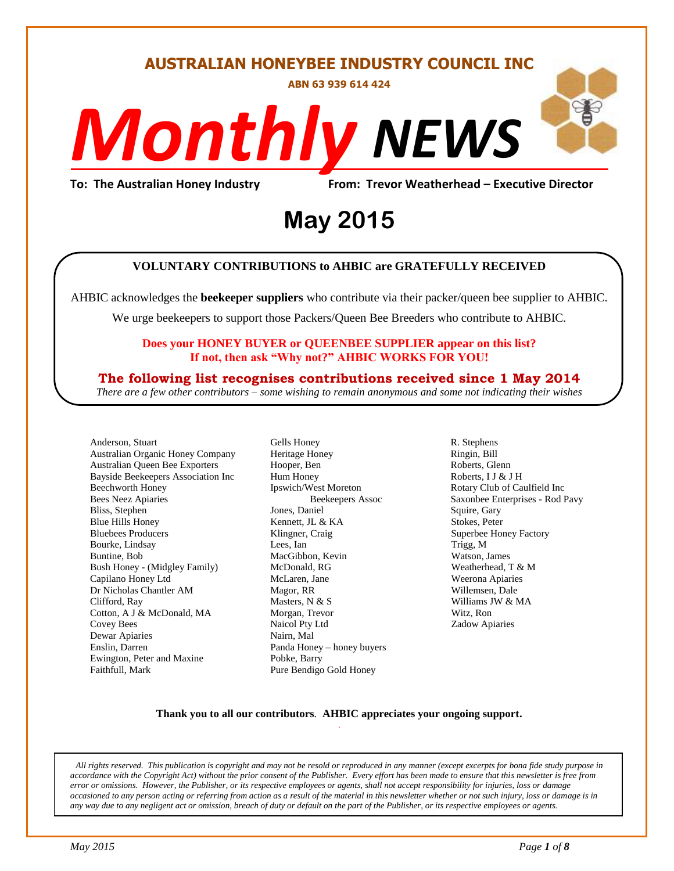### **AUSTRALIAN HONEYBEE INDUSTRY COUNCIL INC**

**ABN 63 939 614 424**

# *NEWS Monthly*

## To: The Australian Honey Industry From: Trevor Weatherhead – Executive Director<br>May 2015 **May 2015**

#### **VOLUNTARY CONTRIBUTIONS to AHBIC are GRATEFULLY RECEIVED**

AHBIC acknowledges the **beekeeper suppliers** who contribute via their packer/queen bee supplier to AHBIC.

We urge beekeepers to support those Packers/Queen Bee Breeders who contribute to AHBIC.

#### **Does your HONEY BUYER or QUEENBEE SUPPLIER appear on this list? If not, then ask "Why not?" AHBIC WORKS FOR YOU!**

#### **The following list recognises contributions received since 1 May 2014**

*There are a few other contributors – some wishing to remain anonymous and some not indicating their wishes*

Anderson, Stuart Australian Organic Honey Company Australian Queen Bee Exporters Bayside Beekeepers Association Inc Beechworth Honey Bees Neez Apiaries Bliss, Stephen Blue Hills Honey Bluebees Producers Bourke, Lindsay Buntine, Bob Bush Honey - (Midgley Family) Capilano Honey Ltd Dr Nicholas Chantler AM Clifford, Ray Cotton, A J & McDonald, MA Covey Bees Dewar Apiaries Enslin, Darren Ewington, Peter and Maxine Faithfull, Mark

Gells Honey Heritage Honey Hooper, Ben Hum Honey Ipswich/West Moreton Beekeepers Assoc Jones, Daniel Kennett, JL & KA Klingner, Craig Lees, Ian MacGibbon, Kevin McDonald, RG McLaren, Jane Magor, RR Masters, N & S Morgan, Trevor Naicol Pty Ltd Nairn, Mal Panda Honey – honey buyers Pobke, Barry Pure Bendigo Gold Honey

R. Stephens Ringin, Bill Roberts, Glenn Roberts, I J & J H Rotary Club of Caulfield Inc Saxonbee Enterprises - Rod Pavy Squire, Gary Stokes, Peter Superbee Honey Factory Trigg, M Watson, James Weatherhead, T & M Weerona Apiaries Willemsen, Dale Williams JW & MA Witz, Ron Zadow Apiaries

#### **Thank you to all our contributors***.* **AHBIC appreciates your ongoing support.** .

*All rights reserved. This publication is copyright and may not be resold or reproduced in any manner (except excerpts for bona fide study purpose in accordance with the Copyright Act) without the prior consent of the Publisher. Every effort has been made to ensure that this newsletter is free from error or omissions. However, the Publisher, or its respective employees or agents, shall not accept responsibility for injuries, loss or damage occasioned to any person acting or referring from action as a result of the material in this newsletter whether or not such injury, loss or damage is in any way due to any negligent act or omission, breach of duty or default on the part of the Publisher, or its respective employees or agents.*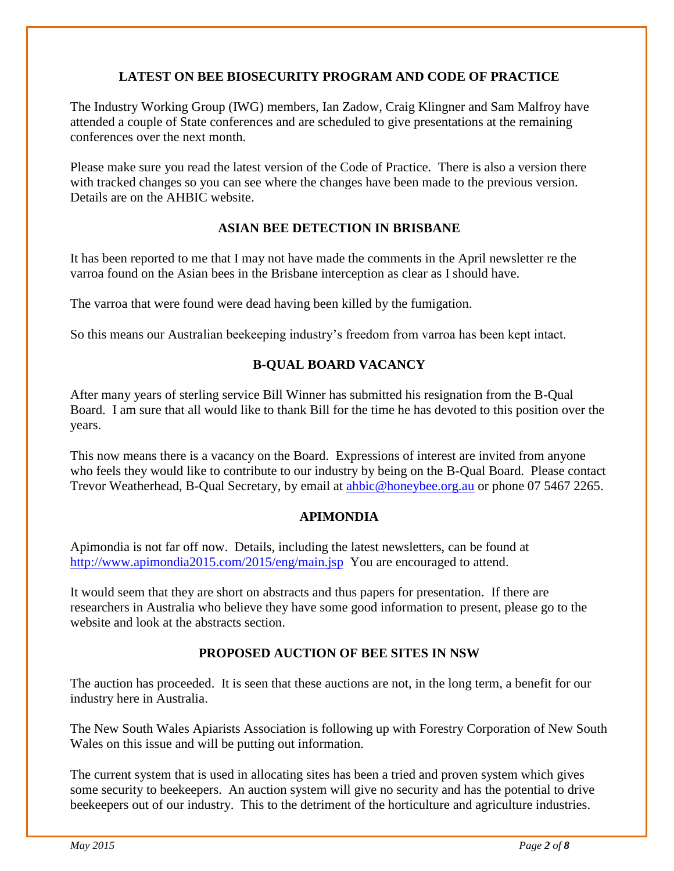#### **LATEST ON BEE BIOSECURITY PROGRAM AND CODE OF PRACTICE**

The Industry Working Group (IWG) members, Ian Zadow, Craig Klingner and Sam Malfroy have attended a couple of State conferences and are scheduled to give presentations at the remaining conferences over the next month.

Please make sure you read the latest version of the Code of Practice. There is also a version there with tracked changes so you can see where the changes have been made to the previous version. Details are on the AHBIC website.

#### **ASIAN BEE DETECTION IN BRISBANE**

It has been reported to me that I may not have made the comments in the April newsletter re the varroa found on the Asian bees in the Brisbane interception as clear as I should have.

The varroa that were found were dead having been killed by the fumigation.

So this means our Australian beekeeping industry's freedom from varroa has been kept intact.

#### **B-QUAL BOARD VACANCY**

After many years of sterling service Bill Winner has submitted his resignation from the B-Qual Board. I am sure that all would like to thank Bill for the time he has devoted to this position over the years.

This now means there is a vacancy on the Board. Expressions of interest are invited from anyone who feels they would like to contribute to our industry by being on the B-Qual Board. Please contact Trevor Weatherhead, B-Qual Secretary, by email at [ahbic@honeybee.org.au](mailto:ahbic@honeybee.org.au) or phone 07 5467 2265.

#### **APIMONDIA**

Apimondia is not far off now. Details, including the latest newsletters, can be found at <http://www.apimondia2015.com/2015/eng/main.jsp>You are encouraged to attend.

It would seem that they are short on abstracts and thus papers for presentation. If there are researchers in Australia who believe they have some good information to present, please go to the website and look at the abstracts section.

#### **PROPOSED AUCTION OF BEE SITES IN NSW**

The auction has proceeded. It is seen that these auctions are not, in the long term, a benefit for our industry here in Australia.

The New South Wales Apiarists Association is following up with Forestry Corporation of New South Wales on this issue and will be putting out information.

The current system that is used in allocating sites has been a tried and proven system which gives some security to beekeepers. An auction system will give no security and has the potential to drive beekeepers out of our industry. This to the detriment of the horticulture and agriculture industries.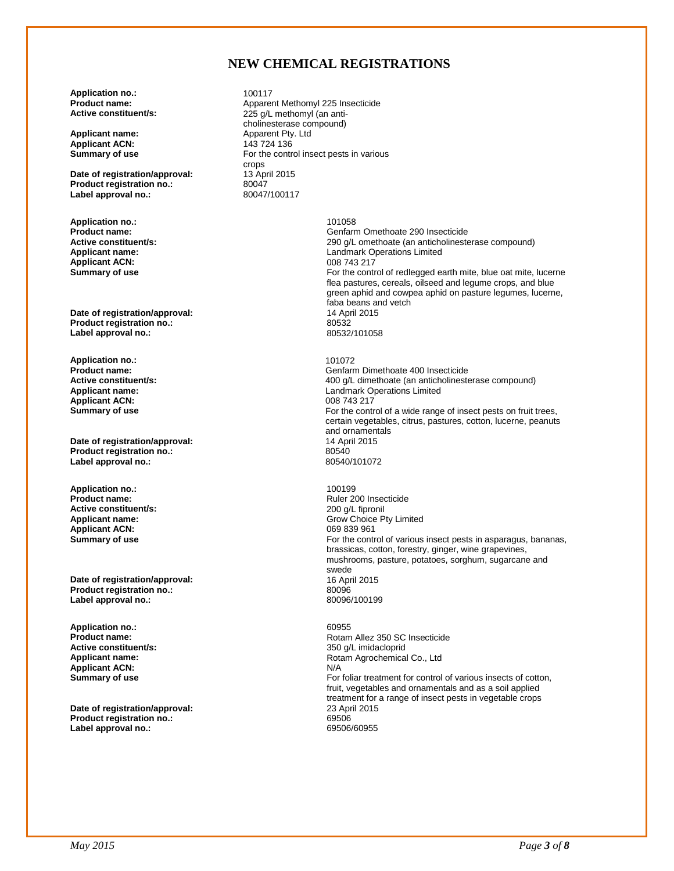#### **NEW CHEMICAL REGISTRATIONS**

**Application no.:** 100117<br>**Product name:** Appare

**Applicant ACN:**<br>Summary of use

**Date of registration/approval:** 13 Apr<br> **Product registration no.:** 80047 **Product registration no.:** 80047<br>
Label approval no.: 80047/100117 Label approval no.:

**Application no.: 101058**<br> **Product name: 101058 Applicant ACN:**<br>Summary of use

**Date of registration/approval:** 14 Apr **Product registration no.:** 20532 Product registration no.:<br>
Label approval no.:<br>
20532/101058 **Label approval no.:** 

**Application no.:** 201072<br>**Product name:** 2010 **Contract Section 101072** Applicant ACN:<br>Summary of use

**Date of registration/approval:** 14 April 2015 14 April 2015<br> **Product registration no.:** 20540 **Product registration no.:** 80540 Label approval no.:

**Application no.: 100199**<br>**Product name: 100199 Active constituent/s:**  $200 \text{ g/L}$  fipronil<br> **Applicant name:**  $\qquad \qquad \qquad$  Grow Choice P Applicant ACN:

**Date of registration/approval:** 16 April 2015<br> **Product registration no.:** 16 April 2015 **Product registration no.:** 80096 **Label approval no.:** 

**Application no.:** 60955 **Active constituent/s:** <br> **Applicant name:** <br> **Applicant name:** <br> **Applicant name:** <br> **Applicant name:** <br> **Applicant name:** <br> **Applicant name:** <br> **Applicant name:** <br> **Applicant name:** <br> **Applicant name:** <br> **Applicant name: Applicant ACN:**<br>Summary of use

**Date of registration/approval:** 23 April 23 April 2015<br> **Product registration no.:** 69506 **Product registration no.: Label approval no.:** 69506/60955

**Product name: Apparent Methomyl 225 Insecticide**<br> **Active constituent/s:** 225 a/L methomyl (an anti-225 g/L methomyl (an anticholinesterase compound) **Applicant name:**  $\begin{array}{r} \text{Apparent Py. Ltd} \\ \text{Applicationt ACN:} \end{array}$  143 724 136 For the control insect pests in various crops<br>13 April 2015

**Product name: Product name: General Structure 200 Insecticide**<br> **Active constituent/s: General Structure 200 and Structure 200 and Active constituent/s: Active constituent/s:** <br>**Applicant name:** <br>**Applicant name:** <br>**Applicant name:** <br>**Applicant name:** <br>**Applicant name:** <br>**Applicant name:** <br>**Applicant name:** <br>**Applicant name:** <br>**Applicant name:** <br>**Applicant Applicant A** Landmark Operations Limited<br>008 743 217 For the control of redlegged earth mite, blue oat mite, lucerne flea pastures, cereals, oilseed and legume crops, and blue green aphid and cowpea aphid on pasture legumes, lucerne, faba beans and vetch<br>14 April 2015

**Product name:**<br> **Active constituent/s:**<br> **Active constituent/s:**<br> **Active constituent/s:**<br> **Active constituent/s: Active constituent/s:** <br>**Applicant name:** <br>**Applicant name:** <br>**Applicant name:** <br>**Applicant name:** <br>**Applicant name:** <br>**Applicant name:** <br>**Applicant name:** <br>**Applicant name:** <br>**Applicant Applicant Applicant Applican** Landmark Operations Limited<br>008 743 217 For the control of a wide range of insect pests on fruit trees, certain vegetables, citrus, pastures, cotton, lucerne, peanuts and ornamentals<br>14 April 2015

**Ruler 200 Insecticide** Grow Choice Pty Limited<br>069 839 961 **Summary of use For the control of various insect pests in asparagus, bananas, <b>Summary of use For the control of various insect pests in asparagus, bananas,** brassicas, cotton, forestry, ginger, wine grapevines, mushrooms, pasture, potatoes, sorghum, sugarcane and swede

> **Product name:** Rotam Allez 350 SC Insecticide Rotam Agrochemical Co., Ltd<br>N/A For foliar treatment for control of various insects of cotton, fruit, vegetables and ornamentals and as a soil applied treatment for a range of insect pests in vegetable crops<br>23 April 2015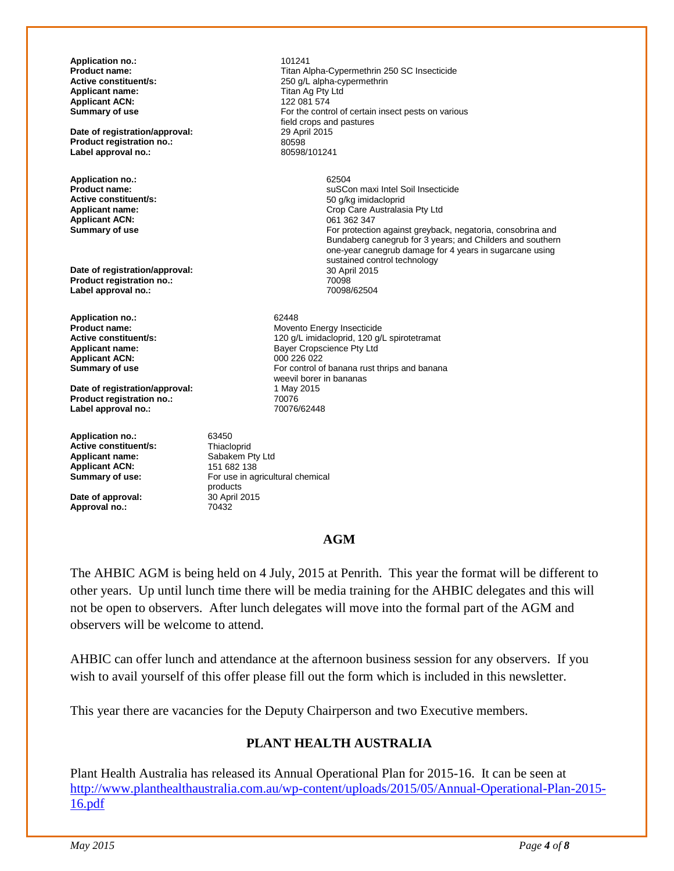**Application no.:** 101241<br>**Product name:** 101241 **Product name: Product name: Titan Alpha-Cypermethrin 250 SC Insecticide**<br> **Active constituent/s:** 250 a/L alpha-cypermethrin **Active constituent/s:** <br> **Applicant name:** <br> **Applicant name:** <br> **Constituent in the Constitution of the Constitution of Titan Ag Pty Ltd** Titan Ag Pty Ltd<br>122 081 574 **Applicant ACN:**<br>Summary of use For the control of certain insect pests on various field crops and pastures<br>29 April 2015 **Date of registration/approval:** 29 Apr<br> **Product registration no.:** 80598 **Product registration no.:** 80598<br>
Label approval no.: 80598/101241 **Label approval no.: Application no.:** 62504 **Product name:**<br> **Active constituent/s:**<br> **Active constituent/s:**<br> **Active constituent/s:**<br> **Active constituent/s: Active constituent/s:** <br>**Applicant name:** <br>**Applicant name:** <br>**Applicant name:** <br>**Applicant name:** <br>**Applicant name:** <br>**Applicant name:** <br>**Applicant name:** <br>**Applicant name:** <br>**Applicant name:** <br>**Applicant Applicant A** Crop Care Australasia Pty Ltd<br>061 362 347 **Applicant ACN:**<br>Summary of use For protection against greyback, negatoria, consobrina and Bundaberg canegrub for 3 years; and Childers and southern one-year canegrub damage for 4 years in sugarcane using sustained control technology<br>30 April 2015 **Date of registration/approval: Product registration no.:** 70098 Label approval no.: **Application no.:** 62448<br> **Product name:** Mover **Product name: Active constituent/s: Movember 2008** Movember 120 a/L imidacloprid. 120 a/l. **Active constituent/s:**  $\begin{array}{ccc}\n & 120 \text{ g/L} \text{ imidac} \text{d} \text{pridac} \text{d} \text{g/L} \text{ spirotetramat} \\
 & 120 \text{ g/L} \text{ imidac} \text{d} \text{pnl} \text{d} \text{d}\n\end{array}$ Bayer Cropscience Pty Ltd<br>000 226 022 **Applicant ACN:**<br>Summary of use For control of banana rust thrips and banana weevil borer in bananas **Date of registration/approval:** 1 May 2015 **Product registration no.:** 70076<br>
Label approval no.: 70076/62448 Label approval no.: **Application no.:** 63450 **Active constituent/s:** Thiacloprid<br> **Applicant name:** Sabakem Pty Ltd **Applicant name: Sabakem Pty**<br>**Applicant ACN: 151 682 138 Applicant ACN:**<br>Summary of use:

**Date of approval: Approval no.:** 70432

For use in agricultural chemical

products<br>30 April 2015

#### **AGM**

The AHBIC AGM is being held on 4 July, 2015 at Penrith. This year the format will be different to other years. Up until lunch time there will be media training for the AHBIC delegates and this will not be open to observers. After lunch delegates will move into the formal part of the AGM and observers will be welcome to attend.

AHBIC can offer lunch and attendance at the afternoon business session for any observers. If you wish to avail yourself of this offer please fill out the form which is included in this newsletter.

This year there are vacancies for the Deputy Chairperson and two Executive members.

#### **PLANT HEALTH AUSTRALIA**

Plant Health Australia has released its Annual Operational Plan for 2015-16. It can be seen at [http://www.planthealthaustralia.com.au/wp-content/uploads/2015/05/Annual-Operational-Plan-2015-](http://www.planthealthaustralia.com.au/wp-content/uploads/2015/05/Annual-Operational-Plan-2015-16.pdf) [16.pdf](http://www.planthealthaustralia.com.au/wp-content/uploads/2015/05/Annual-Operational-Plan-2015-16.pdf)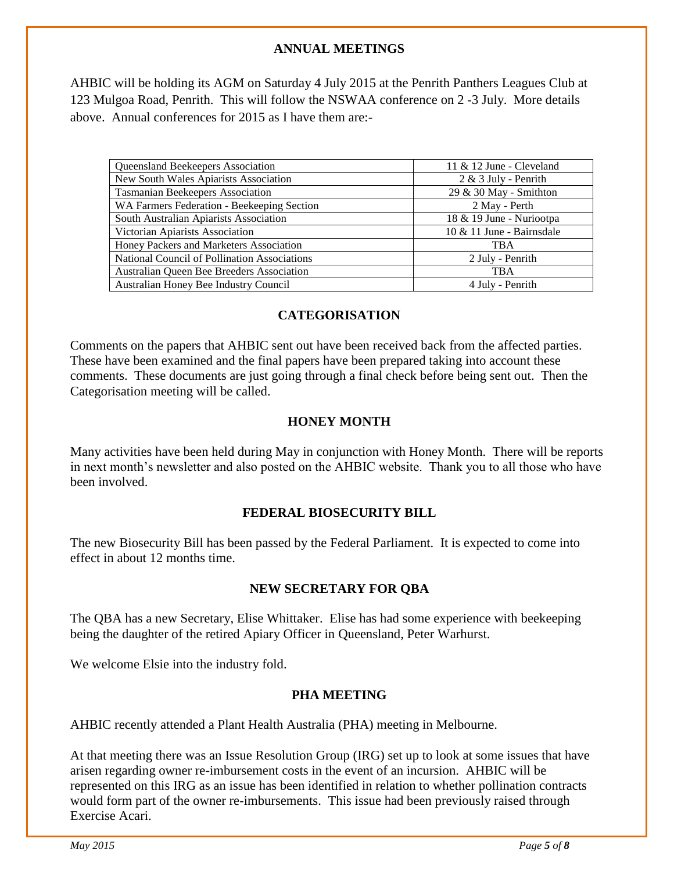#### **ANNUAL MEETINGS**

AHBIC will be holding its AGM on Saturday 4 July 2015 at the Penrith Panthers Leagues Club at 123 Mulgoa Road, Penrith. This will follow the NSWAA conference on 2 -3 July. More details above. Annual conferences for 2015 as I have them are:-

| Queensland Beekeepers Association                | 11 $&$ 12 June - Cleveland   |
|--------------------------------------------------|------------------------------|
| New South Wales Apiarists Association            | $2 \& 3$ July - Penrith      |
| <b>Tasmanian Beekeepers Association</b>          | 29 & 30 May - Smithton       |
| WA Farmers Federation - Beekeeping Section       | 2 May - Perth                |
| South Australian Apiarists Association           | 18 & 19 June - Nuriootpa     |
| Victorian Apiarists Association                  | $10 \& 11$ June - Bairnsdale |
| Honey Packers and Marketers Association          | <b>TBA</b>                   |
| National Council of Pollination Associations     | 2 July - Penrith             |
| <b>Australian Queen Bee Breeders Association</b> | <b>TBA</b>                   |
| Australian Honey Bee Industry Council            | 4 July - Penrith             |

#### **CATEGORISATION**

Comments on the papers that AHBIC sent out have been received back from the affected parties. These have been examined and the final papers have been prepared taking into account these comments. These documents are just going through a final check before being sent out. Then the Categorisation meeting will be called.

#### **HONEY MONTH**

Many activities have been held during May in conjunction with Honey Month. There will be reports in next month's newsletter and also posted on the AHBIC website. Thank you to all those who have been involved.

#### **FEDERAL BIOSECURITY BILL**

The new Biosecurity Bill has been passed by the Federal Parliament. It is expected to come into effect in about 12 months time.

#### **NEW SECRETARY FOR QBA**

The QBA has a new Secretary, Elise Whittaker. Elise has had some experience with beekeeping being the daughter of the retired Apiary Officer in Queensland, Peter Warhurst.

We welcome Elsie into the industry fold.

#### **PHA MEETING**

AHBIC recently attended a Plant Health Australia (PHA) meeting in Melbourne.

At that meeting there was an Issue Resolution Group (IRG) set up to look at some issues that have arisen regarding owner re-imbursement costs in the event of an incursion. AHBIC will be represented on this IRG as an issue has been identified in relation to whether pollination contracts would form part of the owner re-imbursements. This issue had been previously raised through Exercise Acari.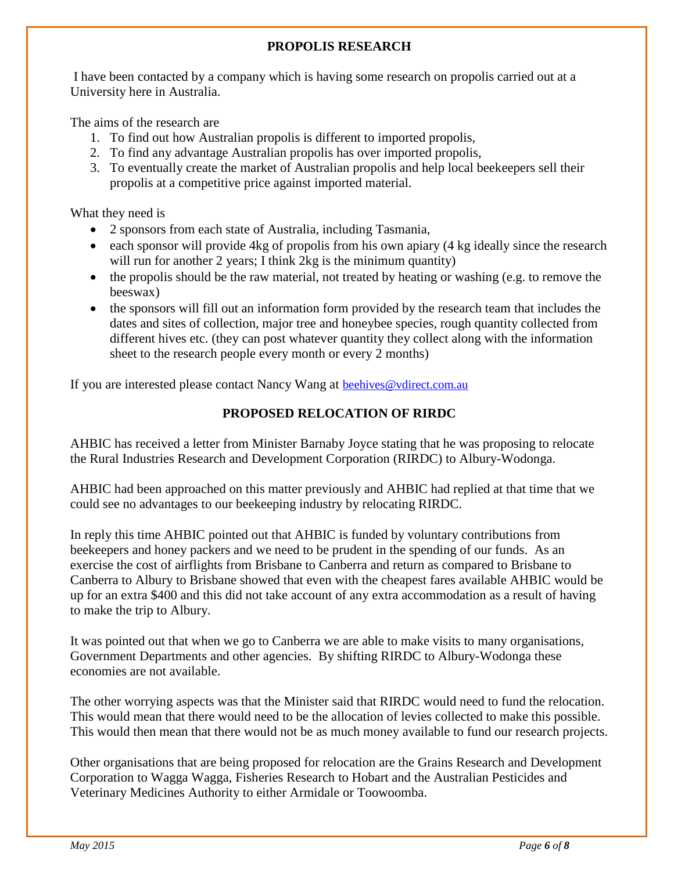#### **PROPOLIS RESEARCH**

I have been contacted by a company which is having some research on propolis carried out at a University here in Australia.

The aims of the research are

- 1. To find out how Australian propolis is different to imported propolis,
- 2. To find any advantage Australian propolis has over imported propolis,
- 3. To eventually create the market of Australian propolis and help local beekeepers sell their propolis at a competitive price against imported material.

What they need is

- 2 sponsors from each state of Australia, including Tasmania,
- each sponsor will provide  $4kg$  of propolis from his own apiary  $(4 \text{ kg}$  ideally since the research will run for another 2 years; I think 2kg is the minimum quantity)
- the propolis should be the raw material, not treated by heating or washing (e.g. to remove the beeswax)
- the sponsors will fill out an information form provided by the research team that includes the dates and sites of collection, major tree and honeybee species, rough quantity collected from different hives etc. (they can post whatever quantity they collect along with the information sheet to the research people every month or every 2 months)

If you are interested please contact Nancy Wang at [beehives@vdirect.com.au](mailto:beehives@vdirect.com.au)

#### **PROPOSED RELOCATION OF RIRDC**

AHBIC has received a letter from Minister Barnaby Joyce stating that he was proposing to relocate the Rural Industries Research and Development Corporation (RIRDC) to Albury-Wodonga.

AHBIC had been approached on this matter previously and AHBIC had replied at that time that we could see no advantages to our beekeeping industry by relocating RIRDC.

In reply this time AHBIC pointed out that AHBIC is funded by voluntary contributions from beekeepers and honey packers and we need to be prudent in the spending of our funds. As an exercise the cost of airflights from Brisbane to Canberra and return as compared to Brisbane to Canberra to Albury to Brisbane showed that even with the cheapest fares available AHBIC would be up for an extra \$400 and this did not take account of any extra accommodation as a result of having to make the trip to Albury.

It was pointed out that when we go to Canberra we are able to make visits to many organisations, Government Departments and other agencies. By shifting RIRDC to Albury-Wodonga these economies are not available.

The other worrying aspects was that the Minister said that RIRDC would need to fund the relocation. This would mean that there would need to be the allocation of levies collected to make this possible. This would then mean that there would not be as much money available to fund our research projects.

Other organisations that are being proposed for relocation are the Grains Research and Development Corporation to Wagga Wagga, Fisheries Research to Hobart and the Australian Pesticides and Veterinary Medicines Authority to either Armidale or Toowoomba.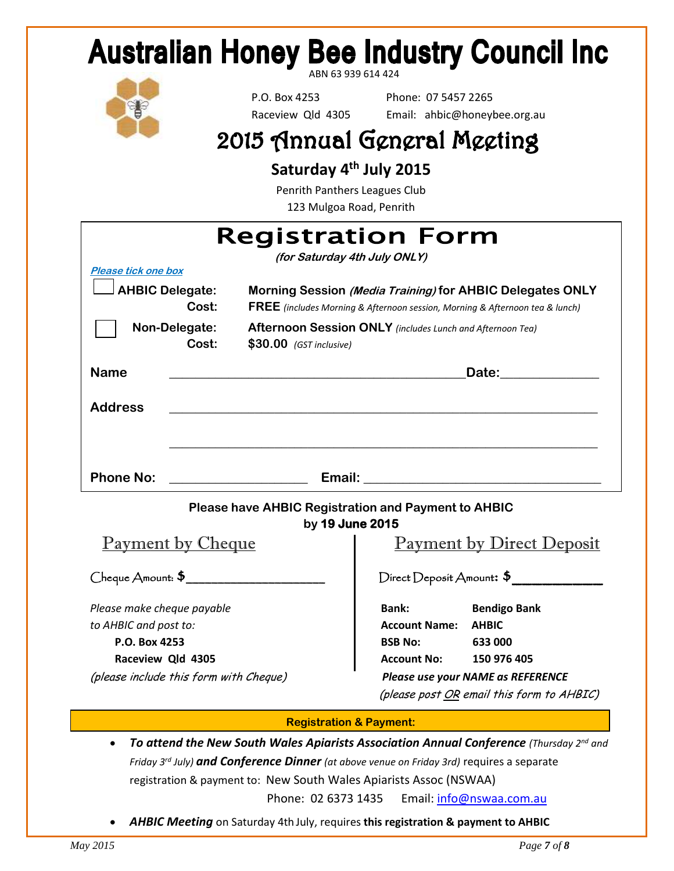## **Australian Honey Bee Industry Council Inc.**

ABN 63 939 614 424



 P.O. Box 4253 Phone: 07 5457 2265 Raceview Qld 4305 Email: ahbic@honeybee.org.au

## 2015 Annual General Meeting

**Saturday 4 th July 2015**

Penrith Panthers Leagues Club 123 Mulgoa Road, Penrith

| <b>Registration Form</b><br>(for Saturday 4th July ONLY)                        |                                                                                                                  |  |
|---------------------------------------------------------------------------------|------------------------------------------------------------------------------------------------------------------|--|
| Please tick one box<br><b>AHBIC Delegate:</b>                                   | Morning Session (Media Training) for AHBIC Delegates ONLY                                                        |  |
| Cost:                                                                           | <b>FREE</b> (includes Morning & Afternoon session, Morning & Afternoon tea & lunch)                              |  |
| Non-Delegate:<br>Cost:<br>$$30.00$ (GST inclusive)                              | Afternoon Session ONLY (includes Lunch and Afternoon Tea)                                                        |  |
| <b>Name</b><br><u> 1989 - Andrea Stadt Britain, amerikansk politik (* 1958)</u> | Date: 2000                                                                                                       |  |
| <b>Address</b>                                                                  | and the control of the control of the control of the control of the control of the control of the control of the |  |
|                                                                                 |                                                                                                                  |  |
| <b>Phone No:</b>                                                                |                                                                                                                  |  |
| <b>Please have AHBIC Registration and Payment to AHBIC</b><br>by 19 June 2015   |                                                                                                                  |  |
| <b>Payment by Cheque</b>                                                        | <b>Payment by Direct Deposit</b>                                                                                 |  |
| Cheque Amount: \$                                                               | Direct Deposit Amount: \$                                                                                        |  |
| Please make cheque payable                                                      | Bank:<br><b>Bendigo Bank</b>                                                                                     |  |
| to AHBIC and post to:                                                           | <b>Account Name: AHBIC</b>                                                                                       |  |
| P.O. Box 4253                                                                   | <b>BSB No:</b><br>633 000                                                                                        |  |
| Raceview Qld 4305                                                               | <b>Account No:</b><br>150 976 405                                                                                |  |
| (please include this form with Cheque)                                          | Please use your NAME as REFERENCE<br>(please post OR email this form to AHBIC)                                   |  |

#### **Registration & Payment:**

 *To attend the New South Wales Apiarists Association Annual Conference (Thursday 2nd and Friday 3rd July) and Conference Dinner (at above venue on Friday 3rd)* requires a separate registration & payment to: New South Wales Apiarists Assoc (NSWAA)

Phone: 02 6373 1435 Email: info@nswaa.com.au

*AHBIC Meeting* on Saturday 4th July, requires **this registration & payment to AHBIC**